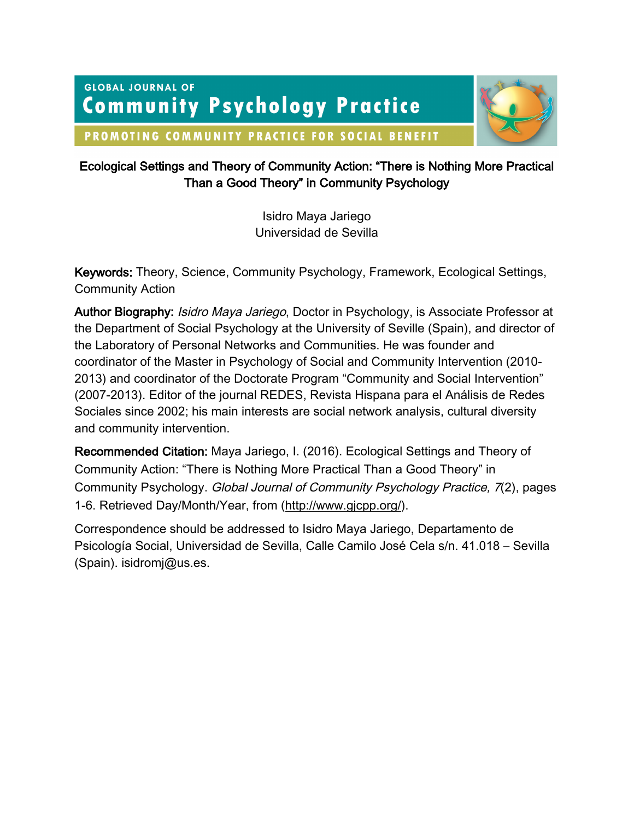**GLOBAL JOURNAL OF Community Psychology Practice** 



# PROMOTING COMMUNITY PRACTICE FOR SOCIAL BENEFIT

# Ecological Settings and Theory of Community Action: "There is Nothing More Practical Than a Good Theory" in Community Psychology

Isidro Maya Jariego Universidad de Sevilla

Keywords: Theory, Science, Community Psychology, Framework, Ecological Settings, Community Action

Author Biography: *Isidro Maya Jariego*, Doctor in Psychology, is Associate Professor at the Department of Social Psychology at the University of Seville (Spain), and director of the Laboratory of Personal Networks and Communities. He was founder and coordinator of the Master in Psychology of Social and Community Intervention (2010- 2013) and coordinator of the Doctorate Program "Community and Social Intervention" (2007-2013). Editor of the journal REDES, Revista Hispana para el Análisis de Redes Sociales since 2002; his main interests are social network analysis, cultural diversity and community intervention.

Recommended Citation: Maya Jariego, I. (2016). Ecological Settings and Theory of Community Action: "There is Nothing More Practical Than a Good Theory" in Community Psychology. Global Journal of Community Psychology Practice, 7(2), pages 1-6. Retrieved Day/Month/Year, from (http://www.gjcpp.org/).

Correspondence should be addressed to Isidro Maya Jariego, Departamento de Psicología Social, Universidad de Sevilla, Calle Camilo José Cela s/n. 41.018 – Sevilla (Spain). isidromj@us.es.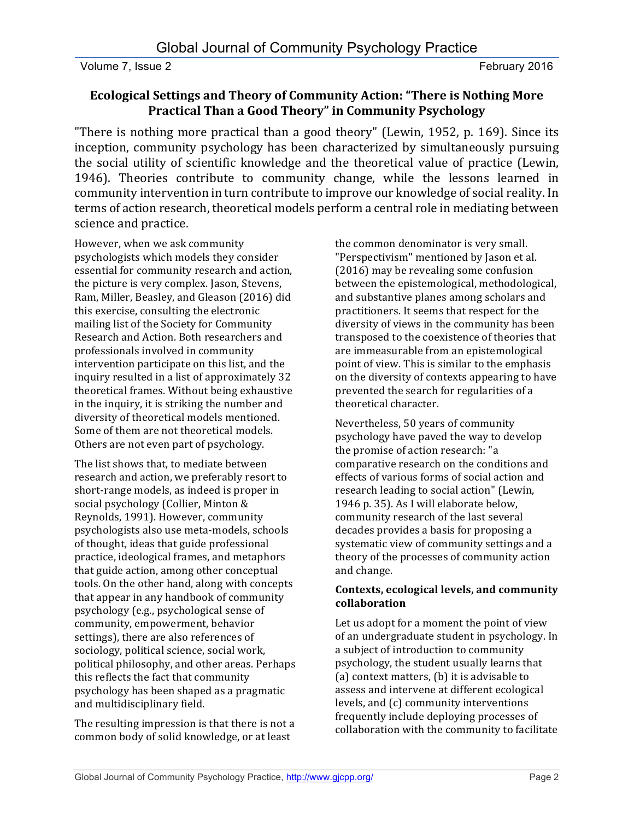Volume 7, Issue 2 February 2016

## Ecological Settings and Theory of Community Action: "There is Nothing More **Practical Than a Good Theory" in Community Psychology**

"There is nothing more practical than a good theory" (Lewin, 1952, p. 169). Since its inception, community psychology has been characterized by simultaneously pursuing the social utility of scientific knowledge and the theoretical value of practice (Lewin, 1946). Theories contribute to community change, while the lessons learned in community intervention in turn contribute to improve our knowledge of social reality. In terms of action research, theoretical models perform a central role in mediating between science and practice.

However, when we ask community psychologists which models they consider essential for community research and action, the picture is very complex. Jason, Stevens, Ram, Miller, Beasley, and Gleason (2016) did this exercise, consulting the electronic mailing list of the Society for Community Research and Action. Both researchers and professionals involved in community intervention participate on this list, and the inquiry resulted in a list of approximately 32 theoretical frames. Without being exhaustive in the inquiry, it is striking the number and diversity of theoretical models mentioned. Some of them are not theoretical models. Others are not even part of psychology.

The list shows that, to mediate between research and action, we preferably resort to short-range models, as indeed is proper in social psychology (Collier, Minton & Reynolds, 1991). However, community psychologists also use meta-models, schools of thought, ideas that guide professional practice, ideological frames, and metaphors that guide action, among other conceptual tools. On the other hand, along with concepts that appear in any handbook of community psychology (e.g., psychological sense of community, empowerment, behavior settings), there are also references of sociology, political science, social work, political philosophy, and other areas. Perhaps this reflects the fact that community psychology has been shaped as a pragmatic and multidisciplinary field.

The resulting impression is that there is not a common body of solid knowledge, or at least

the common denominator is very small. "Perspectivism" mentioned by Jason et al.  $(2016)$  may be revealing some confusion between the epistemological, methodological, and substantive planes among scholars and practitioners. It seems that respect for the diversity of views in the community has been transposed to the coexistence of theories that are immeasurable from an epistemological point of view. This is similar to the emphasis on the diversity of contexts appearing to have prevented the search for regularities of a theoretical character.

Nevertheless, 50 years of community psychology have paved the way to develop the promise of action research: "a comparative research on the conditions and effects of various forms of social action and research leading to social action" (Lewin, 1946 p. 35). As I will elaborate below, community research of the last several decades provides a basis for proposing a systematic view of community settings and a theory of the processes of community action and change.

## **Contexts, ecological levels, and community collaboration**

Let us adopt for a moment the point of view of an undergraduate student in psychology. In a subject of introduction to community psychology, the student usually learns that (a) context matters,  $(b)$  it is advisable to assess and intervene at different ecological levels, and (c) community interventions frequently include deploying processes of collaboration with the community to facilitate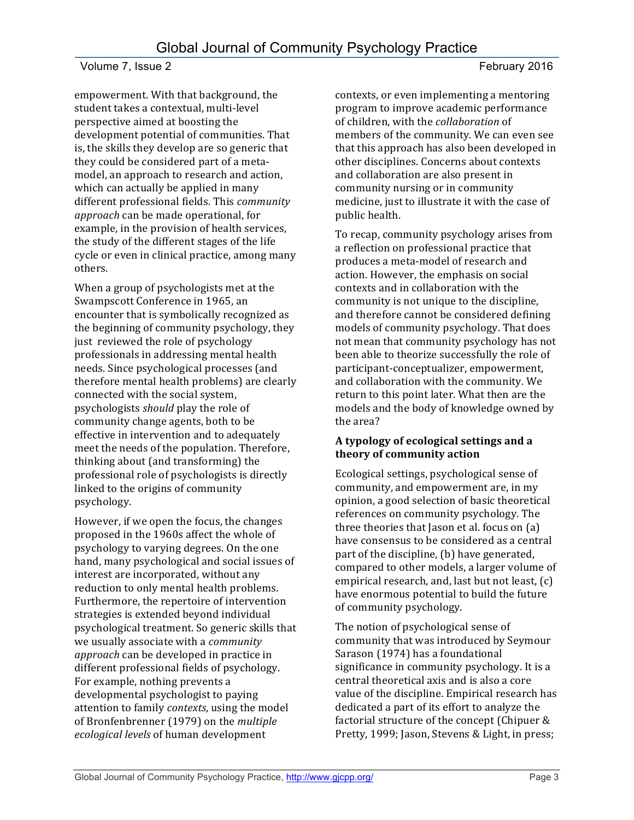## Volume 7, Issue 2 February 2016

empowerment. With that background, the student takes a contextual, multi-level perspective aimed at boosting the development potential of communities. That is, the skills they develop are so generic that they could be considered part of a metamodel, an approach to research and action, which can actually be applied in many different professional fields. This *community approach* can be made operational, for example, in the provision of health services, the study of the different stages of the life cycle or even in clinical practice, among many others.

When a group of psychologists met at the Swampscott Conference in 1965, an encounter that is symbolically recognized as the beginning of community psychology, they just reviewed the role of psychology professionals in addressing mental health needs. Since psychological processes (and therefore mental health problems) are clearly connected with the social system, psychologists *should* play the role of community change agents, both to be effective in intervention and to adequately meet the needs of the population. Therefore, thinking about (and transforming) the professional role of psychologists is directly linked to the origins of community psychology.

However, if we open the focus, the changes proposed in the 1960s affect the whole of psychology to varying degrees. On the one hand, many psychological and social issues of interest are incorporated, without any reduction to only mental health problems. Furthermore, the repertoire of intervention strategies is extended beyond individual psychological treatment. So generic skills that we usually associate with a *community approach* can be developed in practice in different professional fields of psychology. For example, nothing prevents a developmental psychologist to paying attention to family *contexts*, using the model of Bronfenbrenner (1979) on the *multiple* ecological levels of human development

contexts, or even implementing a mentoring program to improve academic performance of children, with the *collaboration* of members of the community. We can even see that this approach has also been developed in other disciplines. Concerns about contexts and collaboration are also present in community nursing or in community medicine, just to illustrate it with the case of public health.

To recap, community psychology arises from a reflection on professional practice that produces a meta-model of research and action. However, the emphasis on social contexts and in collaboration with the community is not unique to the discipline, and therefore cannot be considered defining models of community psychology. That does not mean that community psychology has not been able to theorize successfully the role of participant-conceptualizer, empowerment, and collaboration with the community. We return to this point later. What then are the models and the body of knowledge owned by the area?

### A typology of ecological settings and a **theory of community action**

Ecological settings, psychological sense of community, and empowerment are, in my opinion, a good selection of basic theoretical references on community psychology. The three theories that Jason et al. focus on  $(a)$ have consensus to be considered as a central part of the discipline, (b) have generated, compared to other models, a larger volume of empirical research, and, last but not least,  $(c)$ have enormous potential to build the future of community psychology.

The notion of psychological sense of community that was introduced by Seymour Sarason (1974) has a foundational significance in community psychology. It is a central theoretical axis and is also a core value of the discipline. Empirical research has dedicated a part of its effort to analyze the factorial structure of the concept (Chipuer & Pretty, 1999; Jason, Stevens & Light, in press;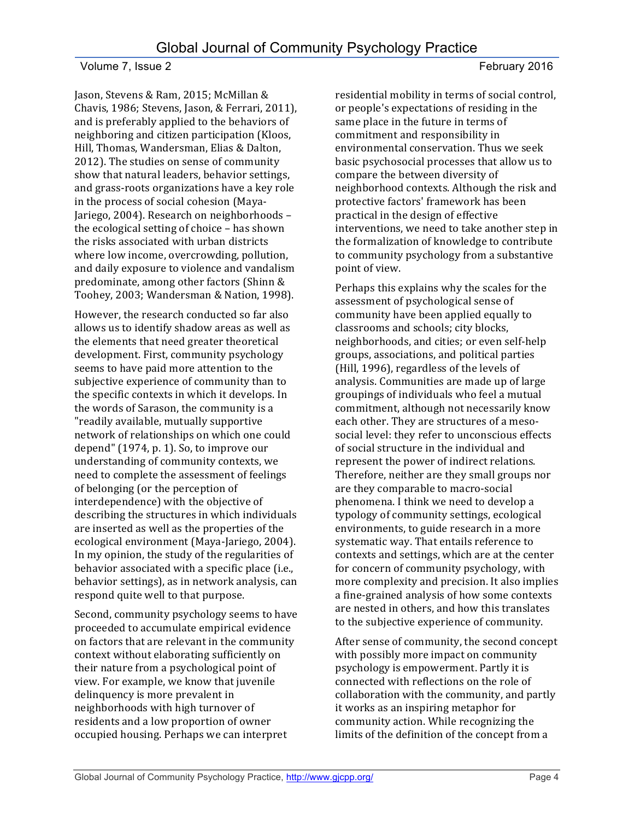## Volume 7, Issue 2 February 2016

Jason, Stevens & Ram, 2015; McMillan & Chavis, 1986; Stevens, Jason, & Ferrari, 2011), and is preferably applied to the behaviors of neighboring and citizen participation (Kloos, Hill, Thomas, Wandersman, Elias & Dalton, 2012). The studies on sense of community show that natural leaders, behavior settings, and grass-roots organizations have a key role in the process of social cohesion (Maya-Jariego, 2004). Research on neighborhoods the ecological setting of choice  $-$  has shown the risks associated with urban districts where low income, overcrowding, pollution, and daily exposure to violence and vandalism predominate, among other factors (Shinn & Toohey, 2003; Wandersman & Nation, 1998).

However, the research conducted so far also allows us to identify shadow areas as well as the elements that need greater theoretical development. First, community psychology seems to have paid more attention to the subjective experience of community than to the specific contexts in which it develops. In the words of Sarason, the community is a "readily available, mutually supportive network of relationships on which one could depend"  $(1974, p. 1)$ . So, to improve our understanding of community contexts, we need to complete the assessment of feelings of belonging (or the perception of interdependence) with the objective of describing the structures in which individuals are inserted as well as the properties of the ecological environment (Maya-Jariego, 2004). In my opinion, the study of the regularities of behavior associated with a specific place (i.e., behavior settings), as in network analysis, can respond quite well to that purpose.

Second, community psychology seems to have proceeded to accumulate empirical evidence on factors that are relevant in the community context without elaborating sufficiently on their nature from a psychological point of view. For example, we know that juvenile delinquency is more prevalent in neighborhoods with high turnover of residents and a low proportion of owner occupied housing. Perhaps we can interpret

residential mobility in terms of social control, or people's expectations of residing in the same place in the future in terms of commitment and responsibility in environmental conservation. Thus we seek basic psychosocial processes that allow us to compare the between diversity of neighborhood contexts. Although the risk and protective factors' framework has been practical in the design of effective interventions, we need to take another step in the formalization of knowledge to contribute to community psychology from a substantive point of view.

Perhaps this explains why the scales for the assessment of psychological sense of community have been applied equally to classrooms and schools; city blocks, neighborhoods, and cities; or even self-help groups, associations, and political parties (Hill, 1996), regardless of the levels of analysis. Communities are made up of large groupings of individuals who feel a mutual commitment, although not necessarily know each other. They are structures of a mesosocial level: they refer to unconscious effects of social structure in the individual and represent the power of indirect relations. Therefore, neither are they small groups nor are they comparable to macro-social phenomena. I think we need to develop a typology of community settings, ecological environments, to guide research in a more systematic way. That entails reference to contexts and settings, which are at the center for concern of community psychology, with more complexity and precision. It also implies a fine-grained analysis of how some contexts are nested in others, and how this translates to the subjective experience of community.

After sense of community, the second concept with possibly more impact on community psychology is empowerment. Partly it is connected with reflections on the role of collaboration with the community, and partly it works as an inspiring metaphor for community action. While recognizing the limits of the definition of the concept from a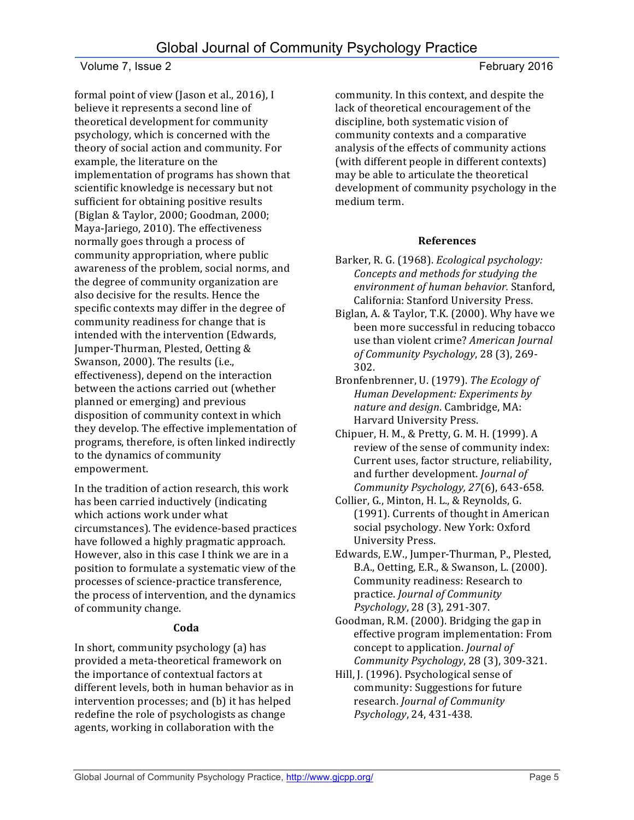### Volume 7, Issue 2 **February 2016 February 2016**

formal point of view (Jason et al., 2016), I believe it represents a second line of theoretical development for community psychology, which is concerned with the theory of social action and community. For example, the literature on the implementation of programs has shown that scientific knowledge is necessary but not sufficient for obtaining positive results (Biglan & Taylor, 2000; Goodman, 2000; Maya-Jariego, 2010). The effectiveness normally goes through a process of community appropriation, where public awareness of the problem, social norms, and the degree of community organization are also decisive for the results. Hence the specific contexts may differ in the degree of community readiness for change that is intended with the intervention (Edwards, Jumper-Thurman, Plested, Oetting & Swanson, 2000). The results (i.e., effectiveness), depend on the interaction between the actions carried out (whether planned or emerging) and previous disposition of community context in which they develop. The effective implementation of programs, therefore, is often linked indirectly to the dynamics of community empowerment.

In the tradition of action research, this work has been carried inductively (indicating which actions work under what circumstances). The evidence-based practices have followed a highly pragmatic approach. However, also in this case I think we are in a position to formulate a systematic view of the processes of science-practice transference, the process of intervention, and the dynamics of community change.

#### **Coda**

In short, community psychology (a) has provided a meta-theoretical framework on the importance of contextual factors at different levels, both in human behavior as in intervention processes; and (b) it has helped redefine the role of psychologists as change agents, working in collaboration with the

community. In this context, and despite the lack of theoretical encouragement of the discipline, both systematic vision of community contexts and a comparative analysis of the effects of community actions (with different people in different contexts) may be able to articulate the theoretical development of community psychology in the medium term.

#### **References**

- Barker, R. G. (1968). *Ecological psychology: Concepts and methods for studying the environment of human behavior.* Stanford, California: Stanford University Press.
- Biglan, A. & Taylor, T.K. (2000). Why have we been more successful in reducing tobacco use than violent crime? *American Journal of Community Psychology*, 28 (3), 269- 302.
- Bronfenbrenner, U. (1979). The Ecology of *Human Development: Experiments by nature and design.* Cambridge, MA: Harvard University Press.
- Chipuer, H. M., & Pretty, G. M. H. (1999). A review of the sense of community index: Current uses, factor structure, reliability, and further development. *Journal of Community Psychology, 27*(6), 643-658.
- Collier, G., Minton, H. L., & Reynolds, G. (1991). Currents of thought in American social psychology. New York: Oxford University Press.
- Edwards, E.W., Jumper-Thurman, P., Plested, B.A., Oetting, E.R., & Swanson, L. (2000). Community readiness: Research to practice. *Journal of Community Psychology*, 28 (3), 291-307.
- Goodman, R.M. (2000). Bridging the gap in effective program implementation: From concept to application. *Journal of Community Psychology*, 28 (3), 309-321.
- Hill, J. (1996). Psychological sense of community: Suggestions for future research. *Journal of Community Psychology*, 24, 431-438.